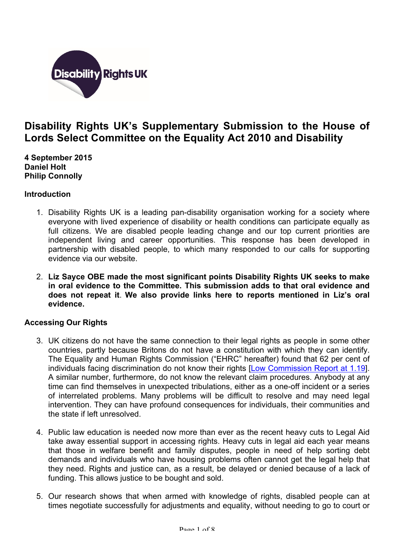

# **Disability Rights UK's Supplementary Submission to the House of Lords Select Committee on the Equality Act 2010 and Disability**

**4 September 2015 Daniel Holt Philip Connolly**

## **Introduction**

- 1. Disability Rights UK is a leading pan-disability organisation working for a society where everyone with lived experience of disability or health conditions can participate equally as full citizens. We are disabled people leading change and our top current priorities are independent living and career opportunities. This response has been developed in partnership with disabled people, to which many responded to our calls for supporting evidence via our website.
- 2. **Liz Sayce OBE made the most significant points Disability Rights UK seeks to make in oral evidence to the Committee. This submission adds to that oral evidence and does not repeat it**. **We also provide links here to reports mentioned in Liz's oral evidence.**

# **Accessing Our Rights**

- 3. UK citizens do not have the same connection to their legal rights as people in some other countries, partly because Britons do not have a constitution with which they can identify. The Equality and Human Rights Commission ("EHRC" hereafter) found that 62 per cent of individuals facing discrimination do not know their rights [Low Commission Report at 1.19]. A similar number, furthermore, do not know the relevant claim procedures. Anybody at any time can find themselves in unexpected tribulations, either as a one-off incident or a series of interrelated problems. Many problems will be difficult to resolve and may need legal intervention. They can have profound consequences for individuals, their communities and the state if left unresolved.
- 4. Public law education is needed now more than ever as the recent heavy cuts to Legal Aid take away essential support in accessing rights. Heavy cuts in legal aid each year means that those in welfare benefit and family disputes, people in need of help sorting debt demands and individuals who have housing problems often cannot get the legal help that they need. Rights and justice can, as a result, be delayed or denied because of a lack of funding. This allows justice to be bought and sold.
- 5. Our research shows that when armed with knowledge of rights, disabled people can at times negotiate successfully for adjustments and equality, without needing to go to court or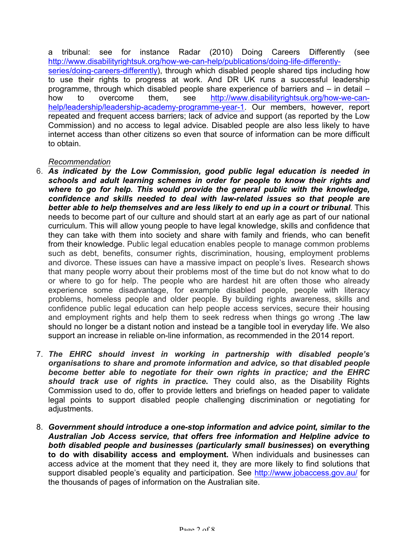a tribunal: see for instance Radar (2010) Doing Careers Differently (see http://www.disabilityrightsuk.org/how-we-can-help/publications/doing-life-differentlyseries/doing-careers-differently), through which disabled people shared tips including how to use their rights to progress at work. And DR UK runs a successful leadership programme, through which disabled people share experience of barriers and – in detail – how to overcome them, see http://www.disabilityrightsuk.org/how-we-canhelp/leadership/leadership-academy-programme-year-1. Our members, however, report repeated and frequent access barriers; lack of advice and support (as reported by the Low Commission) and no access to legal advice. Disabled people are also less likely to have internet access than other citizens so even that source of information can be more difficult to obtain.

## *Recommendation*

- 6. *As indicated by the Low Commission, good public legal education is needed in schools and adult learning schemes in order for people to know their rights and where to go for help. This would provide the general public with the knowledge, confidence and skills needed to deal with law-related issues so that people are better able to help themselves and are less likely to end up in a court or tribunal.* This needs to become part of our culture and should start at an early age as part of our national curriculum. This will allow young people to have legal knowledge, skills and confidence that they can take with them into society and share with family and friends, who can benefit from their knowledge. Public legal education enables people to manage common problems such as debt, benefits, consumer rights, discrimination, housing, employment problems and divorce. These issues can have a massive impact on people's lives. Research shows that many people worry about their problems most of the time but do not know what to do or where to go for help. The people who are hardest hit are often those who already experience some disadvantage, for example disabled people, people with literacy problems, homeless people and older people. By building rights awareness, skills and confidence public legal education can help people access services, secure their housing and employment rights and help them to seek redress when things go wrong .The law should no longer be a distant notion and instead be a tangible tool in everyday life. We also support an increase in reliable on-line information, as recommended in the 2014 report.
- 7. *The EHRC should invest in working in partnership with disabled people's organisations to share and promote information and advice, so that disabled people become better able to negotiate for their own rights in practice; and the EHRC should track use of rights in practice***.** They could also, as the Disability Rights Commission used to do, offer to provide letters and briefings on headed paper to validate legal points to support disabled people challenging discrimination or negotiating for adiustments.
- 8. *Government should introduce a one-stop information and advice point, similar to the Australian Job Access service, that offers free information and Helpline advice to both disabled people and businesses (particularly small businesses***) on everything to do with disability access and employment.** When individuals and businesses can access advice at the moment that they need it, they are more likely to find solutions that support disabled people's equality and participation. See http://www.jobaccess.gov.au/ for the thousands of pages of information on the Australian site.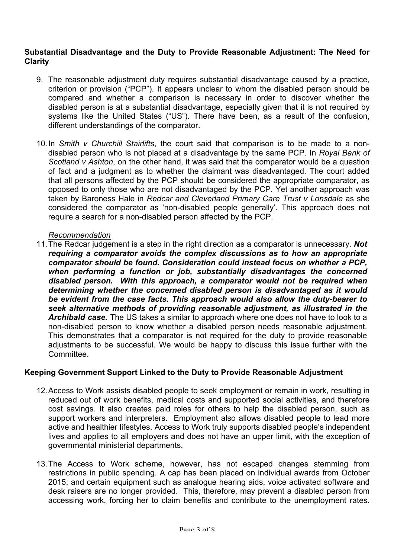#### **Substantial Disadvantage and the Duty to Provide Reasonable Adjustment: The Need for Clarity**

- 9. The reasonable adjustment duty requires substantial disadvantage caused by a practice, criterion or provision ("PCP"). It appears unclear to whom the disabled person should be compared and whether a comparison is necessary in order to discover whether the disabled person is at a substantial disadvantage, especially given that it is not required by systems like the United States ("US"). There have been, as a result of the confusion, different understandings of the comparator.
- 10.In *Smith v Churchill Stairlifts*, the court said that comparison is to be made to a nondisabled person who is not placed at a disadvantage by the same PCP. In *Royal Bank of Scotland v Ashton*, on the other hand, it was said that the comparator would be a question of fact and a judgment as to whether the claimant was disadvantaged. The court added that all persons affected by the PCP should be considered the appropriate comparator, as opposed to only those who are not disadvantaged by the PCP. Yet another approach was taken by Baroness Hale in *Redcar and Cleverland Primary Care Trust v Lonsdale* as she considered the comparator as 'non-disabled people generally'. This approach does not require a search for a non-disabled person affected by the PCP.

## *Recommendation*

11.The Redcar judgement is a step in the right direction as a comparator is unnecessary. *Not requiring a comparator avoids the complex discussions as to how an appropriate comparator should be found. Consideration could instead focus on whether a PCP, when performing a function or job, substantially disadvantages the concerned disabled person. With this approach, a comparator would not be required when determining whether the concerned disabled person is disadvantaged as it would be evident from the case facts. This approach would also allow the duty-bearer to seek alternative methods of providing reasonable adjustment, as illustrated in the Archibald case.* The US takes a similar to approach where one does not have to look to a non-disabled person to know whether a disabled person needs reasonable adjustment. This demonstrates that a comparator is not required for the duty to provide reasonable adjustments to be successful. We would be happy to discuss this issue further with the Committee.

## **Keeping Government Support Linked to the Duty to Provide Reasonable Adjustment**

- 12.Access to Work assists disabled people to seek employment or remain in work, resulting in reduced out of work benefits, medical costs and supported social activities, and therefore cost savings. It also creates paid roles for others to help the disabled person, such as support workers and interpreters. Employment also allows disabled people to lead more active and healthier lifestyles. Access to Work truly supports disabled people's independent lives and applies to all employers and does not have an upper limit, with the exception of governmental ministerial departments.
- 13.The Access to Work scheme, however, has not escaped changes stemming from restrictions in public spending. A cap has been placed on individual awards from October 2015; and certain equipment such as analogue hearing aids, voice activated software and desk raisers are no longer provided. This, therefore, may prevent a disabled person from accessing work, forcing her to claim benefits and contribute to the unemployment rates.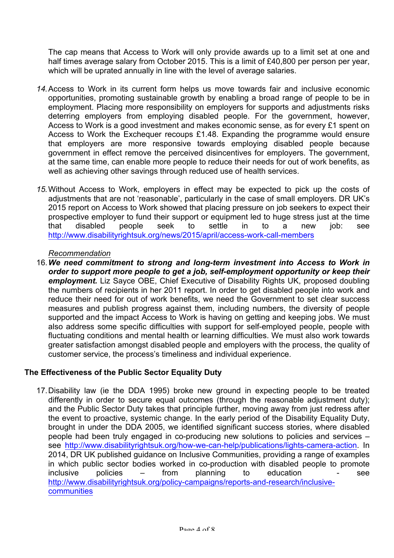The cap means that Access to Work will only provide awards up to a limit set at one and half times average salary from October 2015. This is a limit of £40,800 per person per year, which will be uprated annually in line with the level of average salaries.

- *14.*Access to Work in its current form helps us move towards fair and inclusive economic opportunities, promoting sustainable growth by enabling a broad range of people to be in employment. Placing more responsibility on employers for supports and adjustments risks deterring employers from employing disabled people. For the government, however, Access to Work is a good investment and makes economic sense, as for every £1 spent on Access to Work the Exchequer recoups £1.48. Expanding the programme would ensure that employers are more responsive towards employing disabled people because government in effect remove the perceived disincentives for employers. The government, at the same time, can enable more people to reduce their needs for out of work benefits, as well as achieving other savings through reduced use of health services.
- *15.*Without Access to Work, employers in effect may be expected to pick up the costs of adjustments that are not 'reasonable', particularly in the case of small employers. DR UK's 2015 report on Access to Work showed that placing pressure on job seekers to expect their prospective employer to fund their support or equipment led to huge stress just at the time that disabled people seek to settle in to a new job: see http://www.disabilityrightsuk.org/news/2015/april/access-work-call-members

## *Recommendation*

16.*We need commitment to strong and long-term investment into Access to Work in order to support more people to get a job, self-employment opportunity or keep their employment.* Liz Sayce OBE, Chief Executive of Disability Rights UK, proposed doubling the numbers of recipients in her 2011 report. In order to get disabled people into work and reduce their need for out of work benefits, we need the Government to set clear success measures and publish progress against them, including numbers, the diversity of people supported and the impact Access to Work is having on getting and keeping jobs. We must also address some specific difficulties with support for self-employed people, people with fluctuating conditions and mental health or learning difficulties. We must also work towards greater satisfaction amongst disabled people and employers with the process, the quality of customer service, the process's timeliness and individual experience.

## **The Effectiveness of the Public Sector Equality Duty**

17.Disability law (ie the DDA 1995) broke new ground in expecting people to be treated differently in order to secure equal outcomes (through the reasonable adjustment duty); and the Public Sector Duty takes that principle further, moving away from just redress after the event to proactive, systemic change. In the early period of the Disability Equality Duty, brought in under the DDA 2005, we identified significant success stories, where disabled people had been truly engaged in co-producing new solutions to policies and services – see http://www.disabilityrightsuk.org/how-we-can-help/publications/lights-camera-action. In 2014, DR UK published guidance on Inclusive Communities, providing a range of examples in which public sector bodies worked in co-production with disabled people to promote inclusive policies – from planning to education - see http://www.disabilityrightsuk.org/policy-campaigns/reports-and-research/inclusive**communities**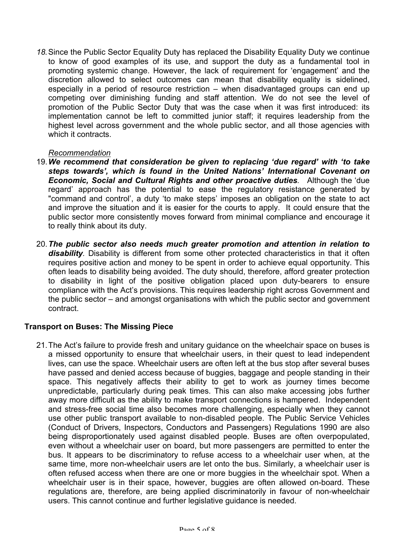*18.*Since the Public Sector Equality Duty has replaced the Disability Equality Duty we continue to know of good examples of its use, and support the duty as a fundamental tool in promoting systemic change. However, the lack of requirement for 'engagement' and the discretion allowed to select outcomes can mean that disability equality is sidelined, especially in a period of resource restriction – when disadvantaged groups can end up competing over diminishing funding and staff attention. We do not see the level of promotion of the Public Sector Duty that was the case when it was first introduced: its implementation cannot be left to committed junior staff; it requires leadership from the highest level across government and the whole public sector, and all those agencies with which it contracts.

## *Recommendation*

- 19.*We recommend that consideration be given to replacing 'due regard' with 'to take steps towards', which is found in the United Nations' International Covenant on Economic, Social and Cultural Rights and other proactive duties.* Although the 'due regard' approach has the potential to ease the regulatory resistance generated by "command and control', a duty 'to make steps' imposes an obligation on the state to act and improve the situation and it is easier for the courts to apply. It could ensure that the public sector more consistently moves forward from minimal compliance and encourage it to really think about its duty.
- 20.*The public sector also needs much greater promotion and attention in relation to disability.* Disability is different from some other protected characteristics in that it often requires positive action and money to be spent in order to achieve equal opportunity. This often leads to disability being avoided. The duty should, therefore, afford greater protection to disability in light of the positive obligation placed upon duty-bearers to ensure compliance with the Act's provisions. This requires leadership right across Government and the public sector – and amongst organisations with which the public sector and government contract.

## **Transport on Buses: The Missing Piece**

21.The Act's failure to provide fresh and unitary guidance on the wheelchair space on buses is a missed opportunity to ensure that wheelchair users, in their quest to lead independent lives, can use the space. Wheelchair users are often left at the bus stop after several buses have passed and denied access because of buggies, baggage and people standing in their space. This negatively affects their ability to get to work as journey times become unpredictable, particularly during peak times. This can also make accessing jobs further away more difficult as the ability to make transport connections is hampered. Independent and stress-free social time also becomes more challenging, especially when they cannot use other public transport available to non-disabled people. The Public Service Vehicles (Conduct of Drivers, Inspectors, Conductors and Passengers) Regulations 1990 are also being disproportionately used against disabled people. Buses are often overpopulated, even without a wheelchair user on board, but more passengers are permitted to enter the bus. It appears to be discriminatory to refuse access to a wheelchair user when, at the same time, more non-wheelchair users are let onto the bus. Similarly, a wheelchair user is often refused access when there are one or more buggies in the wheelchair spot. When a wheelchair user is in their space, however, buggies are often allowed on-board. These regulations are, therefore, are being applied discriminatorily in favour of non-wheelchair users. This cannot continue and further legislative guidance is needed.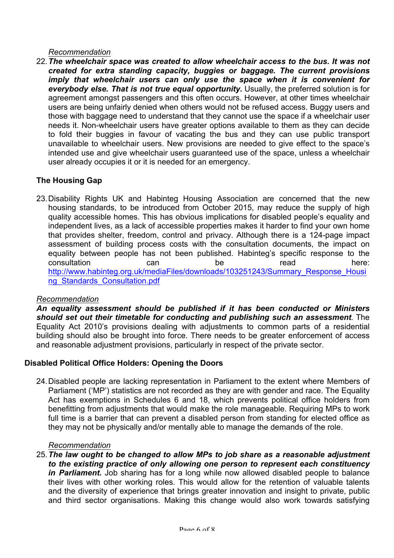## *Recommendation*

22.*The wheelchair space was created to allow wheelchair access to the bus. It was not created for extra standing capacity, buggies or baggage. The current provisions imply that wheelchair users can only use the space when it is convenient for everybody else. That is not true equal opportunity.* Usually, the preferred solution is for agreement amongst passengers and this often occurs. However, at other times wheelchair users are being unfairly denied when others would not be refused access. Buggy users and those with baggage need to understand that they cannot use the space if a wheelchair user needs it. Non-wheelchair users have greater options available to them as they can decide to fold their buggies in favour of vacating the bus and they can use public transport unavailable to wheelchair users. New provisions are needed to give effect to the space's intended use and give wheelchair users guaranteed use of the space, unless a wheelchair user already occupies it or it is needed for an emergency.

# **The Housing Gap**

23.Disability Rights UK and Habinteg Housing Association are concerned that the new housing standards, to be introduced from October 2015, may reduce the supply of high quality accessible homes. This has obvious implications for disabled people's equality and independent lives, as a lack of accessible properties makes it harder to find your own home that provides shelter, freedom, control and privacy. Although there is a 124-page impact assessment of building process costs with the consultation documents, the impact on equality between people has not been published. Habinteg's specific response to the consultation can be read here: http://www.habinteg.org.uk/mediaFiles/downloads/103251243/Summary\_Response\_Housi ng\_Standards\_Consultation.pdf

## *Recommendation*

*An equality assessment should be published if it has been conducted or Ministers should set out their timetable for conducting and publishing such an assessment.* The Equality Act 2010's provisions dealing with adjustments to common parts of a residential building should also be brought into force. There needs to be greater enforcement of access and reasonable adjustment provisions, particularly in respect of the private sector.

# **Disabled Political Office Holders: Opening the Doors**

24.Disabled people are lacking representation in Parliament to the extent where Members of Parliament ('MP') statistics are not recorded as they are with gender and race. The Equality Act has exemptions in Schedules 6 and 18, which prevents political office holders from benefitting from adjustments that would make the role manageable. Requiring MPs to work full time is a barrier that can prevent a disabled person from standing for elected office as they may not be physically and/or mentally able to manage the demands of the role.

## *Recommendation*

25.*The law ought to be changed to allow MPs to job share as a reasonable adjustment to the existing practice of only allowing one person to represent each constituency in Parliament.* Job sharing has for a long while now allowed disabled people to balance their lives with other working roles. This would allow for the retention of valuable talents and the diversity of experience that brings greater innovation and insight to private, public and third sector organisations. Making this change would also work towards satisfying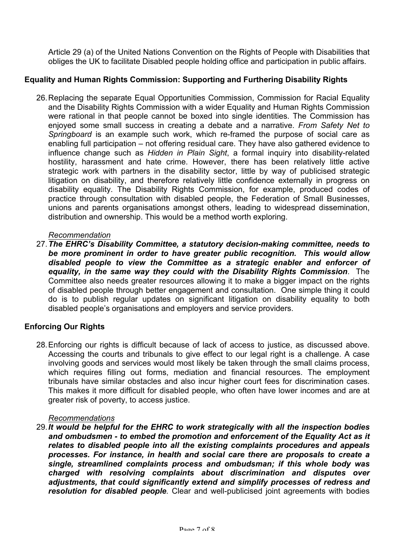Article 29 (a) of the United Nations Convention on the Rights of People with Disabilities that obliges the UK to facilitate Disabled people holding office and participation in public affairs.

## **Equality and Human Rights Commission: Supporting and Furthering Disability Rights**

26.Replacing the separate Equal Opportunities Commission, Commission for Racial Equality and the Disability Rights Commission with a wider Equality and Human Rights Commission were rational in that people cannot be boxed into single identities. The Commission has enjoyed some small success in creating a debate and a narrative. *From Safety Net to Springboard* is an example such work, which re-framed the purpose of social care as enabling full participation – not offering residual care. They have also gathered evidence to influence change such as *Hidden in Plain Sight*, a formal inquiry into disability-related hostility, harassment and hate crime. However, there has been relatively little active strategic work with partners in the disability sector, little by way of publicised strategic litigation on disability, and therefore relatively little confidence externally in progress on disability equality. The Disability Rights Commission, for example, produced codes of practice through consultation with disabled people, the Federation of Small Businesses, unions and parents organisations amongst others, leading to widespread dissemination, distribution and ownership. This would be a method worth exploring.

#### *Recommendation*

27.*The EHRC's Disability Committee, a statutory decision-making committee, needs to be more prominent in order to have greater public recognition. This would allow disabled people to view the Committee as a strategic enabler and enforcer of equality, in the same way they could with the Disability Rights Commission*. The Committee also needs greater resources allowing it to make a bigger impact on the rights of disabled people through better engagement and consultation. One simple thing it could do is to publish regular updates on significant litigation on disability equality to both disabled people's organisations and employers and service providers.

## **Enforcing Our Rights**

28.Enforcing our rights is difficult because of lack of access to justice, as discussed above. Accessing the courts and tribunals to give effect to our legal right is a challenge. A case involving goods and services would most likely be taken through the small claims process, which requires filling out forms, mediation and financial resources. The employment tribunals have similar obstacles and also incur higher court fees for discrimination cases. This makes it more difficult for disabled people, who often have lower incomes and are at greater risk of poverty, to access justice.

#### *Recommendations*

29.*It would be helpful for the EHRC to work strategically with all the inspection bodies and ombudsmen - to embed the promotion and enforcement of the Equality Act as it relates to disabled people into all the existing complaints procedures and appeals processes. For instance, in health and social care there are proposals to create a single, streamlined complaints process and ombudsman; if this whole body was charged with resolving complaints about discrimination and disputes over adjustments, that could significantly extend and simplify processes of redress and resolution for disabled people.* Clear and well-publicised joint agreements with bodies